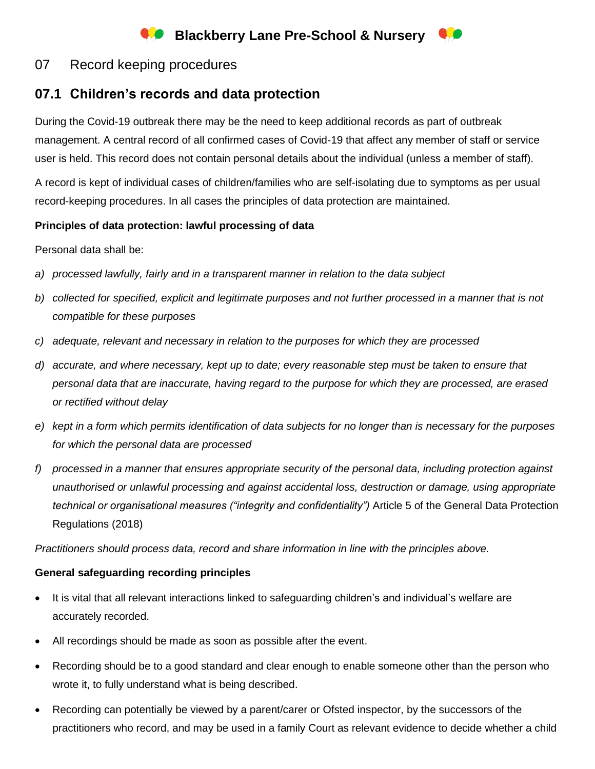# **Blackberry Lane Pre-School & Nursery**

# 07 Record keeping procedures

# **07.1 Children's records and data protection**

During the Covid-19 outbreak there may be the need to keep additional records as part of outbreak management. A central record of all confirmed cases of Covid-19 that affect any member of staff or service user is held. This record does not contain personal details about the individual (unless a member of staff).

A record is kept of individual cases of children/families who are self-isolating due to symptoms as per usual record-keeping procedures. In all cases the principles of data protection are maintained.

#### **Principles of data protection: lawful processing of data**

Personal data shall be:

- *a) processed lawfully, fairly and in a transparent manner in relation to the data subject*
- *b) collected for specified, explicit and legitimate purposes and not further processed in a manner that is not compatible for these purposes*
- *c) adequate, relevant and necessary in relation to the purposes for which they are processed*
- *d) accurate, and where necessary, kept up to date; every reasonable step must be taken to ensure that personal data that are inaccurate, having regard to the purpose for which they are processed, are erased or rectified without delay*
- *e) kept in a form which permits identification of data subjects for no longer than is necessary for the purposes for which the personal data are processed*
- *f) processed in a manner that ensures appropriate security of the personal data, including protection against unauthorised or unlawful processing and against accidental loss, destruction or damage, using appropriate technical or organisational measures ("integrity and confidentiality")* Article 5 of the General Data Protection Regulations (2018)

*Practitioners should process data, record and share information in line with the principles above.*

### **General safeguarding recording principles**

- It is vital that all relevant interactions linked to safeguarding children's and individual's welfare are accurately recorded.
- All recordings should be made as soon as possible after the event.
- Recording should be to a good standard and clear enough to enable someone other than the person who wrote it, to fully understand what is being described.
- Recording can potentially be viewed by a parent/carer or Ofsted inspector, by the successors of the practitioners who record, and may be used in a family Court as relevant evidence to decide whether a child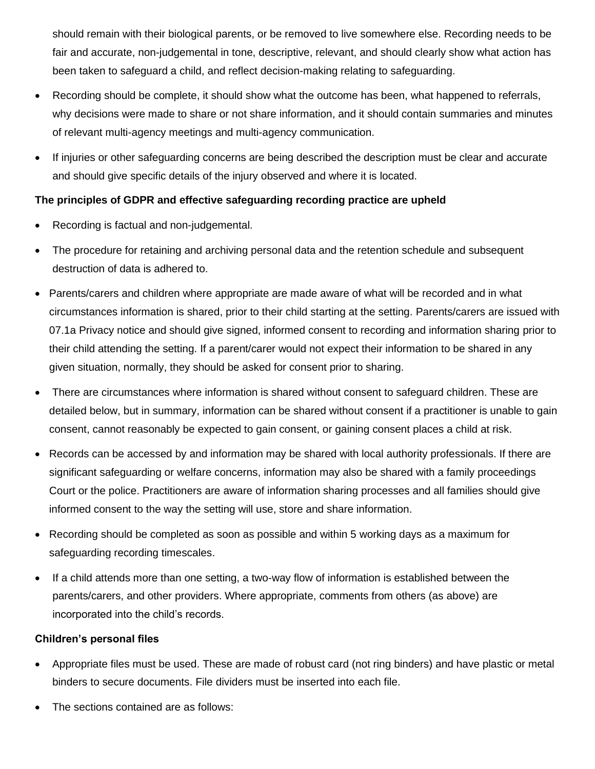should remain with their biological parents, or be removed to live somewhere else. Recording needs to be fair and accurate, non-judgemental in tone, descriptive, relevant, and should clearly show what action has been taken to safeguard a child, and reflect decision-making relating to safeguarding.

- Recording should be complete, it should show what the outcome has been, what happened to referrals, why decisions were made to share or not share information, and it should contain summaries and minutes of relevant multi-agency meetings and multi-agency communication.
- If injuries or other safeguarding concerns are being described the description must be clear and accurate and should give specific details of the injury observed and where it is located.

## **The principles of GDPR and effective safeguarding recording practice are upheld**

- Recording is factual and non-judgemental.
- The procedure for retaining and archiving personal data and the retention schedule and subsequent destruction of data is adhered to.
- Parents/carers and children where appropriate are made aware of what will be recorded and in what circumstances information is shared, prior to their child starting at the setting. Parents/carers are issued with 07.1a Privacy notice and should give signed, informed consent to recording and information sharing prior to their child attending the setting. If a parent/carer would not expect their information to be shared in any given situation, normally, they should be asked for consent prior to sharing.
- There are circumstances where information is shared without consent to safeguard children. These are detailed below, but in summary, information can be shared without consent if a practitioner is unable to gain consent, cannot reasonably be expected to gain consent, or gaining consent places a child at risk.
- Records can be accessed by and information may be shared with local authority professionals. If there are significant safeguarding or welfare concerns, information may also be shared with a family proceedings Court or the police. Practitioners are aware of information sharing processes and all families should give informed consent to the way the setting will use, store and share information.
- Recording should be completed as soon as possible and within 5 working days as a maximum for safeguarding recording timescales.
- If a child attends more than one setting, a two-way flow of information is established between the parents/carers, and other providers. Where appropriate, comments from others (as above) are incorporated into the child's records.

### **Children's personal files**

- Appropriate files must be used. These are made of robust card (not ring binders) and have plastic or metal binders to secure documents. File dividers must be inserted into each file.
- The sections contained are as follows: